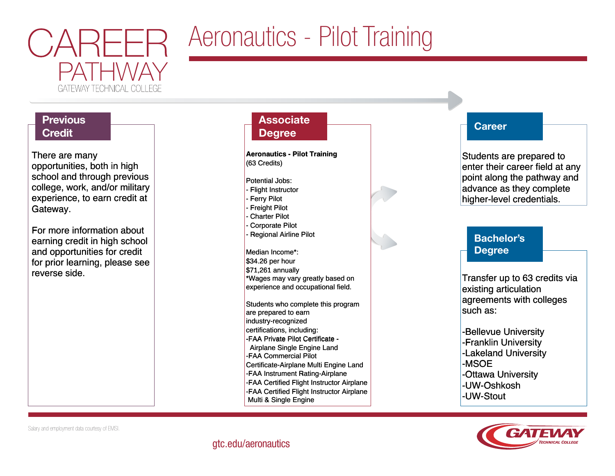

# Aeronautics - Pilot Training

# **Previous Credit**

There are many There are many opportunities, both in high opportunities, both in high school and through previous school and through previous college, work, and/or military college, work, and/or military experience, to earn credit at experience, to earn credit at Gateway. Gateway.

For more information about For more information about earning credit in high school earning credit in high school and opportunities for credit and opportunities for credit for prior learning, please see for prior learning, please see reverse side. reverse side.

## **Associate Degree**

**Aeronautics - Pilot Training Aeronautics - Pilot Training** (63 Credits) (63 Credits)

#### Potential Jobs: Potential Jobs:

- Flight Instructor Flight Instructor
- Ferry Pilot Ferry Pilot
- Freight Pilot Freight Pilot
- Charter Pilot Charter Pilot
- Corporate Pilot Corporate Pilot - Regional Airline Pilot - Regional Airline Pilot

Median Income\*: Median Income\*: \$34.26 per hour \$34.26 per hour \$71,261 annually \$71,261 annually \*Wages may vary greatly based on \*Wages may vary greatly based on experience and occupational field. experience and occupational field.

Students who complete this program Students who complete this program are prepared to earn are prepared to earn industry-recognized industry-recognized certifications, including: certifications, including: -FAA Private Pilot Certificate - -FAA Private Pilot Certificate - Airplane Single Engine Land Airplane Single Engine Land -FAA Commercial Pilot -FAA Commercial Pilot Certificate-Airplane Multi Engine Land Certificate-Airplane Multi Engine Land -FAA Instrument Rating-Airplane -FAA Instrument Rating-Airplane -FAA Certified Flight Instructor Airplane -FAA Certified Flight Instructor Airplane -FAA Certified Flight Instructor Airplane -FAA Certified Flight Instructor Airplane Multi & Single Engine Multi & Single Engine



## **Career**

Students are prepared to Students are prepared to enter their career field at any enter their career field at any point along the pathway and point along the pathway and advance as they complete advance as they complete higher-level credentials. higher-level credentials.

# Bachelor's Degree

Transfer up to 63 credits via Transfer up to 63 credits via existing articulation existing articulation agreements with colleges agreements with colleges such as: such as:

-Bellevue University -Bellevue University -Franklin University -Franklin University -Lakeland University -Lakeland University -MSOE -MSOE -Ottawa University -Ottawa University -UW-Oshkosh -UW-Oshkosh -UW-Stout -UW-Stout



Salary and employment data courtesy of EMSI.